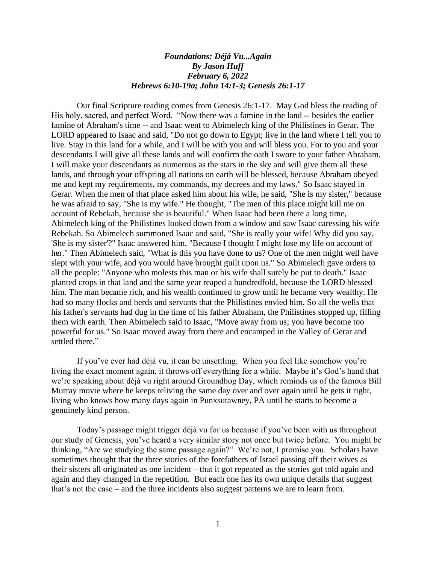## *Foundations: Déjà Vu...Again By Jason Huff February 6, 2022 Hebrews 6:10-19a; John 14:1-3; Genesis 26:1-17*

Our final Scripture reading comes from Genesis 26:1-17. May God bless the reading of His holy, sacred, and perfect Word. "Now there was a famine in the land -- besides the earlier famine of Abraham's time -- and Isaac went to Abimelech king of the Philistines in Gerar. The LORD appeared to Isaac and said, "Do not go down to Egypt; live in the land where I tell you to live. Stay in this land for a while, and I will be with you and will bless you. For to you and your descendants I will give all these lands and will confirm the oath I swore to your father Abraham. I will make your descendants as numerous as the stars in the sky and will give them all these lands, and through your offspring all nations on earth will be blessed, because Abraham obeyed me and kept my requirements, my commands, my decrees and my laws." So Isaac stayed in Gerar. When the men of that place asked him about his wife, he said, "She is my sister," because he was afraid to say, "She is my wife." He thought, "The men of this place might kill me on account of Rebekah, because she is beautiful." When Isaac had been there a long time, Abimelech king of the Philistines looked down from a window and saw Isaac caressing his wife Rebekah. So Abimelech summoned Isaac and said, "She is really your wife! Why did you say, 'She is my sister'?" Isaac answered him, "Because I thought I might lose my life on account of her." Then Abimelech said, "What is this you have done to us? One of the men might well have slept with your wife, and you would have brought guilt upon us." So Abimelech gave orders to all the people: "Anyone who molests this man or his wife shall surely be put to death." Isaac planted crops in that land and the same year reaped a hundredfold, because the LORD blessed him. The man became rich, and his wealth continued to grow until he became very wealthy. He had so many flocks and herds and servants that the Philistines envied him. So all the wells that his father's servants had dug in the time of his father Abraham, the Philistines stopped up, filling them with earth. Then Abimelech said to Isaac, "Move away from us; you have become too powerful for us." So Isaac moved away from there and encamped in the Valley of Gerar and settled there."

If you've ever had déjà vu, it can be unsettling. When you feel like somehow you're living the exact moment again, it throws off everything for a while. Maybe it's God's hand that we're speaking about déjà vu right around Groundhog Day, which reminds us of the famous Bill Murray movie where he keeps reliving the same day over and over again until he gets it right, living who knows how many days again in Punxsutawney, PA until he starts to become a genuinely kind person.

Today's passage might trigger déjà vu for us because if you've been with us throughout our study of Genesis, you've heard a very similar story not once but twice before. You might be thinking, "Are we studying the same passage again?" We're not, I promise you. Scholars have sometimes thought that the three stories of the forefathers of Israel passing off their wives as their sisters all originated as one incident – that it got repeated as the stories got told again and again and they changed in the repetition. But each one has its own unique details that suggest that's not the case – and the three incidents also suggest patterns we are to learn from.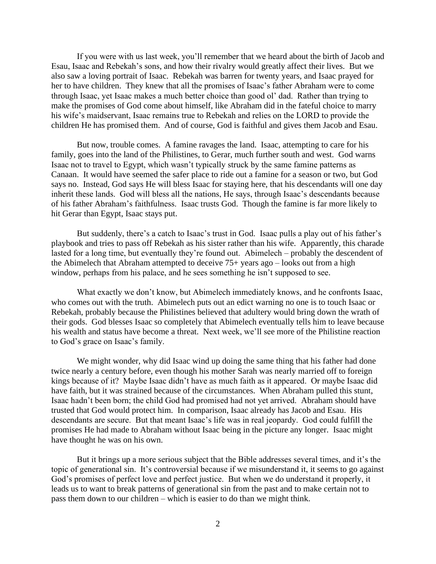If you were with us last week, you'll remember that we heard about the birth of Jacob and Esau, Isaac and Rebekah's sons, and how their rivalry would greatly affect their lives. But we also saw a loving portrait of Isaac. Rebekah was barren for twenty years, and Isaac prayed for her to have children. They knew that all the promises of Isaac's father Abraham were to come through Isaac, yet Isaac makes a much better choice than good ol' dad. Rather than trying to make the promises of God come about himself, like Abraham did in the fateful choice to marry his wife's maidservant, Isaac remains true to Rebekah and relies on the LORD to provide the children He has promised them. And of course, God is faithful and gives them Jacob and Esau.

But now, trouble comes. A famine ravages the land. Isaac, attempting to care for his family, goes into the land of the Philistines, to Gerar, much further south and west. God warns Isaac not to travel to Egypt, which wasn't typically struck by the same famine patterns as Canaan. It would have seemed the safer place to ride out a famine for a season or two, but God says no. Instead, God says He will bless Isaac for staying here, that his descendants will one day inherit these lands. God will bless all the nations, He says, through Isaac's descendants because of his father Abraham's faithfulness. Isaac trusts God. Though the famine is far more likely to hit Gerar than Egypt, Isaac stays put.

But suddenly, there's a catch to Isaac's trust in God. Isaac pulls a play out of his father's playbook and tries to pass off Rebekah as his sister rather than his wife. Apparently, this charade lasted for a long time, but eventually they're found out. Abimelech – probably the descendent of the Abimelech that Abraham attempted to deceive 75+ years ago – looks out from a high window, perhaps from his palace, and he sees something he isn't supposed to see.

What exactly we don't know, but Abimelech immediately knows, and he confronts Isaac, who comes out with the truth. Abimelech puts out an edict warning no one is to touch Isaac or Rebekah, probably because the Philistines believed that adultery would bring down the wrath of their gods. God blesses Isaac so completely that Abimelech eventually tells him to leave because his wealth and status have become a threat. Next week, we'll see more of the Philistine reaction to God's grace on Isaac's family.

We might wonder, why did Isaac wind up doing the same thing that his father had done twice nearly a century before, even though his mother Sarah was nearly married off to foreign kings because of it? Maybe Isaac didn't have as much faith as it appeared. Or maybe Isaac did have faith, but it was strained because of the circumstances. When Abraham pulled this stunt, Isaac hadn't been born; the child God had promised had not yet arrived. Abraham should have trusted that God would protect him. In comparison, Isaac already has Jacob and Esau. His descendants are secure. But that meant Isaac's life was in real jeopardy. God could fulfill the promises He had made to Abraham without Isaac being in the picture any longer. Isaac might have thought he was on his own.

But it brings up a more serious subject that the Bible addresses several times, and it's the topic of generational sin. It's controversial because if we misunderstand it, it seems to go against God's promises of perfect love and perfect justice. But when we do understand it properly, it leads us to want to break patterns of generational sin from the past and to make certain not to pass them down to our children – which is easier to do than we might think.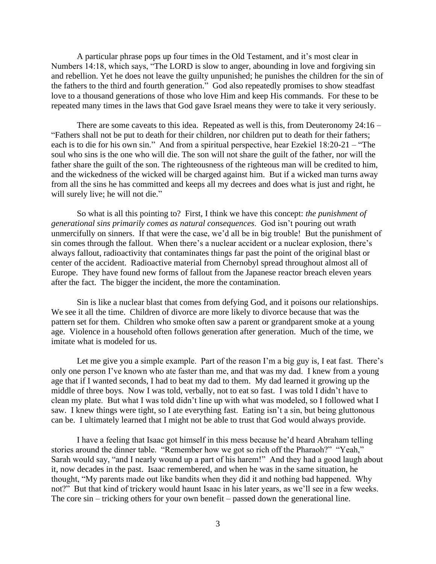A particular phrase pops up four times in the Old Testament, and it's most clear in Numbers 14:18, which says, "The LORD is slow to anger, abounding in love and forgiving sin and rebellion. Yet he does not leave the guilty unpunished; he punishes the children for the sin of the fathers to the third and fourth generation." God also repeatedly promises to show steadfast love to a thousand generations of those who love Him and keep His commands. For these to be repeated many times in the laws that God gave Israel means they were to take it very seriously.

There are some caveats to this idea. Repeated as well is this, from Deuteronomy  $24:16 -$ "Fathers shall not be put to death for their children, nor children put to death for their fathers; each is to die for his own sin." And from a spiritual perspective, hear Ezekiel 18:20-21 – "The soul who sins is the one who will die. The son will not share the guilt of the father, nor will the father share the guilt of the son. The righteousness of the righteous man will be credited to him, and the wickedness of the wicked will be charged against him. But if a wicked man turns away from all the sins he has committed and keeps all my decrees and does what is just and right, he will surely live; he will not die."

So what is all this pointing to? First, I think we have this concept: *the punishment of generational sins primarily comes as natural consequences*. God isn't pouring out wrath unmercifully on sinners. If that were the case, we'd all be in big trouble! But the punishment of sin comes through the fallout. When there's a nuclear accident or a nuclear explosion, there's always fallout, radioactivity that contaminates things far past the point of the original blast or center of the accident. Radioactive material from Chernobyl spread throughout almost all of Europe. They have found new forms of fallout from the Japanese reactor breach eleven years after the fact. The bigger the incident, the more the contamination.

Sin is like a nuclear blast that comes from defying God, and it poisons our relationships. We see it all the time. Children of divorce are more likely to divorce because that was the pattern set for them. Children who smoke often saw a parent or grandparent smoke at a young age. Violence in a household often follows generation after generation. Much of the time, we imitate what is modeled for us.

Let me give you a simple example. Part of the reason I'm a big guy is, I eat fast. There's only one person I've known who ate faster than me, and that was my dad. I knew from a young age that if I wanted seconds, I had to beat my dad to them. My dad learned it growing up the middle of three boys. Now I was told, verbally, not to eat so fast. I was told I didn't have to clean my plate. But what I was told didn't line up with what was modeled, so I followed what I saw. I knew things were tight, so I ate everything fast. Eating isn't a sin, but being gluttonous can be. I ultimately learned that I might not be able to trust that God would always provide.

I have a feeling that Isaac got himself in this mess because he'd heard Abraham telling stories around the dinner table. "Remember how we got so rich off the Pharaoh?" "Yeah," Sarah would say, "and I nearly wound up a part of his harem!" And they had a good laugh about it, now decades in the past. Isaac remembered, and when he was in the same situation, he thought, "My parents made out like bandits when they did it and nothing bad happened. Why not?" But that kind of trickery would haunt Isaac in his later years, as we'll see in a few weeks. The core sin – tricking others for your own benefit – passed down the generational line.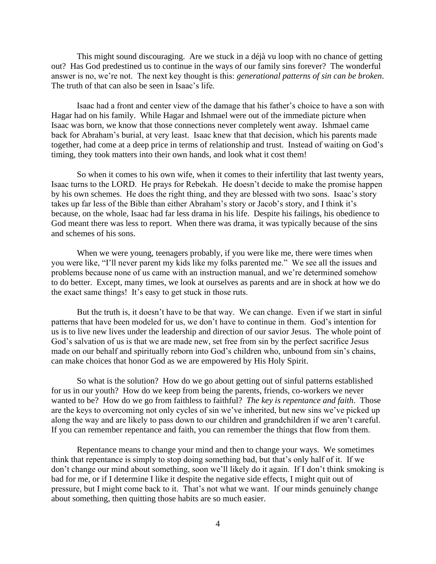This might sound discouraging. Are we stuck in a déjà vu loop with no chance of getting out? Has God predestined us to continue in the ways of our family sins forever? The wonderful answer is no, we're not. The next key thought is this: *generational patterns of sin can be broken*. The truth of that can also be seen in Isaac's life.

Isaac had a front and center view of the damage that his father's choice to have a son with Hagar had on his family. While Hagar and Ishmael were out of the immediate picture when Isaac was born, we know that those connections never completely went away. Ishmael came back for Abraham's burial, at very least. Isaac knew that that decision, which his parents made together, had come at a deep price in terms of relationship and trust. Instead of waiting on God's timing, they took matters into their own hands, and look what it cost them!

So when it comes to his own wife, when it comes to their infertility that last twenty years, Isaac turns to the LORD. He prays for Rebekah. He doesn't decide to make the promise happen by his own schemes. He does the right thing, and they are blessed with two sons. Isaac's story takes up far less of the Bible than either Abraham's story or Jacob's story, and I think it's because, on the whole, Isaac had far less drama in his life. Despite his failings, his obedience to God meant there was less to report. When there was drama, it was typically because of the sins and schemes of his sons.

When we were young, teenagers probably, if you were like me, there were times when you were like, "I'll never parent my kids like my folks parented me." We see all the issues and problems because none of us came with an instruction manual, and we're determined somehow to do better. Except, many times, we look at ourselves as parents and are in shock at how we do the exact same things! It's easy to get stuck in those ruts.

But the truth is, it doesn't have to be that way. We can change. Even if we start in sinful patterns that have been modeled for us, we don't have to continue in them. God's intention for us is to live new lives under the leadership and direction of our savior Jesus. The whole point of God's salvation of us is that we are made new, set free from sin by the perfect sacrifice Jesus made on our behalf and spiritually reborn into God's children who, unbound from sin's chains, can make choices that honor God as we are empowered by His Holy Spirit.

So what is the solution? How do we go about getting out of sinful patterns established for us in our youth? How do we keep from being the parents, friends, co-workers we never wanted to be? How do we go from faithless to faithful? *The key is repentance and faith*. Those are the keys to overcoming not only cycles of sin we've inherited, but new sins we've picked up along the way and are likely to pass down to our children and grandchildren if we aren't careful. If you can remember repentance and faith, you can remember the things that flow from them.

Repentance means to change your mind and then to change your ways. We sometimes think that repentance is simply to stop doing something bad, but that's only half of it. If we don't change our mind about something, soon we'll likely do it again. If I don't think smoking is bad for me, or if I determine I like it despite the negative side effects, I might quit out of pressure, but I might come back to it. That's not what we want. If our minds genuinely change about something, then quitting those habits are so much easier.